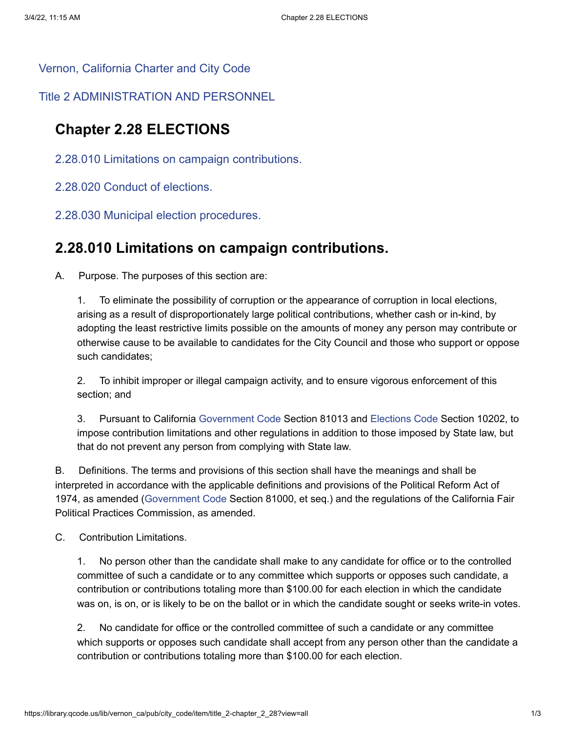[Vernon, California Charter and City Code](https://library.qcode.us/lib/vernon_ca/pub/city_code)

[Title 2 ADMINISTRATION AND PERSONNEL](https://library.qcode.us/lib/vernon_ca/pub/city_code/item/title_2)

### **Chapter 2.28 ELECTIONS**

- [2.28.010 Limitations on campaign contributions.](#page-0-0)
- <span id="page-0-0"></span>[2.28.020 Conduct of elections.](#page-1-0)
- [2.28.030 Municipal election procedures.](#page-1-1)

### **2.28.010 Limitations on campaign contributions.**

A. Purpose. The purposes of this section are:

1. To eliminate the possibility of corruption or the appearance of corruption in local elections, arising as a result of disproportionately large political contributions, whether cash or in-kind, by adopting the least restrictive limits possible on the amounts of money any person may contribute or otherwise cause to be available to candidates for the City Council and those who support or oppose such candidates;

2. To inhibit improper or illegal campaign activity, and to ensure vigorous enforcement of this section; and

3. Pursuant to California [Government](https://library.qcode.us/redirect/state_code/ca/ca_gov) Code Section 81013 and [Elections](https://library.qcode.us/redirect/state_code/ca/ca_elec) Code Section 10202, to impose contribution limitations and other regulations in addition to those imposed by State law, but that do not prevent any person from complying with State law.

B. Definitions. The terms and provisions of this section shall have the meanings and shall be interpreted in accordance with the applicable definitions and provisions of the Political Reform Act of 1974, as amended [\(Government](https://library.qcode.us/redirect/state_code/ca/ca_gov) Code Section 81000, et seq.) and the regulations of the California Fair Political Practices Commission, as amended.

C. Contribution Limitations.

1. No person other than the candidate shall make to any candidate for office or to the controlled committee of such a candidate or to any committee which supports or opposes such candidate, a contribution or contributions totaling more than \$100.00 for each election in which the candidate was on, is on, or is likely to be on the ballot or in which the candidate sought or seeks write-in votes.

2. No candidate for office or the controlled committee of such a candidate or any committee which supports or opposes such candidate shall accept from any person other than the candidate a contribution or contributions totaling more than \$100.00 for each election.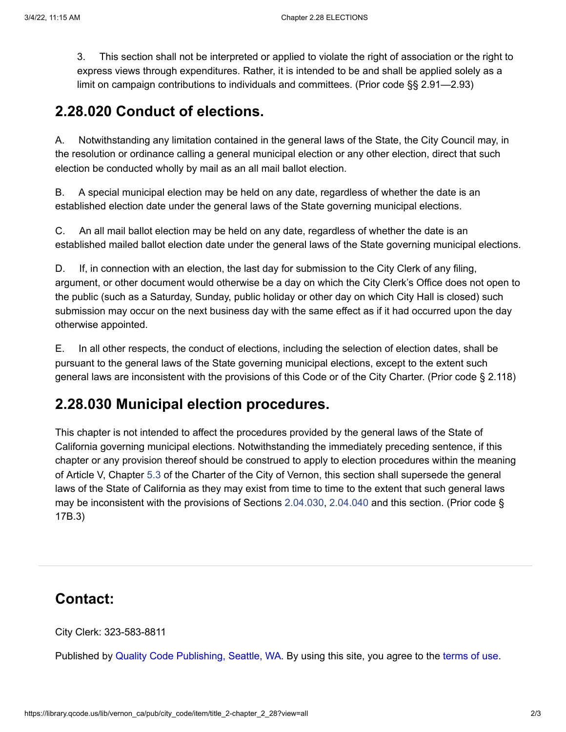<span id="page-1-0"></span>3. This section shall not be interpreted or applied to violate the right of association or the right to express views through expenditures. Rather, it is intended to be and shall be applied solely as a limit on campaign contributions to individuals and committees. (Prior code §§ 2.91—2.93)

### **2.28.020 Conduct of elections.**

A. Notwithstanding any limitation contained in the general laws of the State, the City Council may, in the resolution or ordinance calling a general municipal election or any other election, direct that such election be conducted wholly by mail as an all mail ballot election.

B. A special municipal election may be held on any date, regardless of whether the date is an established election date under the general laws of the State governing municipal elections.

C. An all mail ballot election may be held on any date, regardless of whether the date is an established mailed ballot election date under the general laws of the State governing municipal elections.

D. If, in connection with an election, the last day for submission to the City Clerk of any filing, argument, or other document would otherwise be a day on which the City Clerk's Office does not open to the public (such as a Saturday, Sunday, public holiday or other day on which City Hall is closed) such submission may occur on the next business day with the same effect as if it had occurred upon the day otherwise appointed.

<span id="page-1-1"></span>E. In all other respects, the conduct of elections, including the selection of election dates, shall be pursuant to the general laws of the State governing municipal elections, except to the extent such general laws are inconsistent with the provisions of this Code or of the City Charter. (Prior code § 2.118)

## **2.28.030 Municipal election procedures.**

This chapter is not intended to affect the procedures provided by the general laws of the State of California governing municipal elections. Notwithstanding the immediately preceding sentence, if this chapter or any provision thereof should be construed to apply to election procedures within the meaning of Article V, Chapter [5.3](https://library.qcode.us/lib/vernon_ca/pub/city_code/lookup/5.3) of the Charter of the City of Vernon, this section shall supersede the general laws of the State of California as they may exist from time to time to the extent that such general laws may be inconsistent with the provisions of Sections [2.04.030,](https://library.qcode.us/lib/vernon_ca/pub/city_code/lookup/2.04.030) [2.04.040](https://library.qcode.us/lib/vernon_ca/pub/city_code/lookup/2.04.040) and this section. (Prior code § 17B.3)

# **Contact:**

City Clerk: 323-583-8811

Published by Quality Code [Publishing,](https://www.qcode.us/) Seattle, WA. By using this site, you agree to the [terms](https://library.qcode.us/page/terms_of_use) of use.